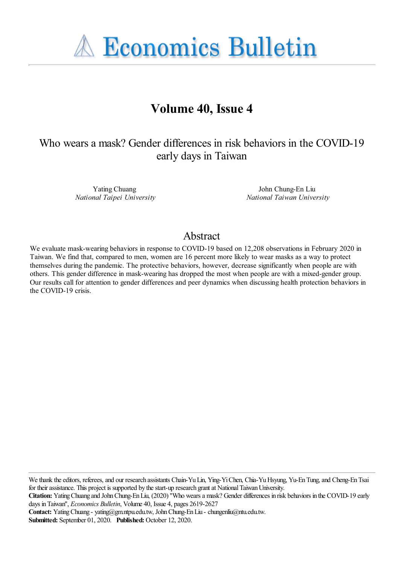**A Economics Bulletin** 

# **Volume 40, Issue 4**

Who wears a mask? Gender differences in risk behaviors in the COVID-19 early days in Taiwan

> Yating Chuang *National Taipei University*

John Chung-En Liu *National Taiwan University*

#### Abstract

We evaluate mask-wearing behaviors in response to COVID-19 based on 12,208 observations in February 2020 in Taiwan. We find that, compared to men, women are 16 percent more likely to wear masks as a way to protect themselves during the pandemic. The protective behaviors, however, decrease significantly when people are with others. This gender difference in mask-wearing has dropped the most when people are with a mixed-gender group. Our results call for attention to gender differences and peer dynamics when discussing health protection behaviors in the COVID-19 crisis.

We thank the editors, referees, and our research assistants Chain-Yu Lin, Ying-Yi Chen, Chia-Yu Hsyung, Yu-En Tung, and Cheng-En Tsai for their assistance. This project is supported by the start-up research grant at National Taiwan University.

**Contact:** Yating Chuang - yating@gm.ntpu.edu.tw, John Chung-En Liu - chungenliu@ntu.edu.tw. **Submitted:** September 01, 2020. **Published:** October 12, 2020.

**Citation:** Yating Chuang and John Chung-En Liu, (2020) ''Who wears a mask? Gender differences in risk behaviors in the COVID-19 early days in Taiwan'', *Economics Bulletin*, Volume 40, Issue 4, pages 2619-2627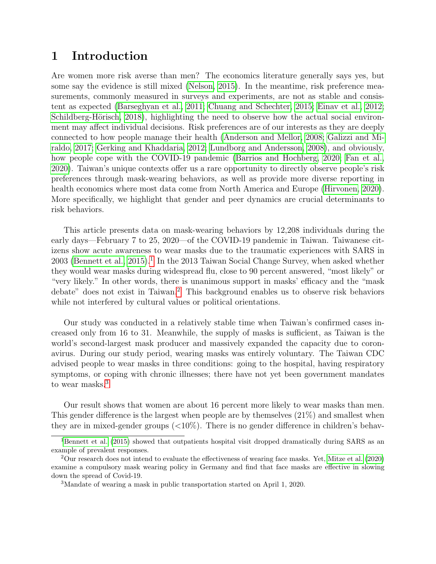## 1 Introduction

Are women more risk averse than men? The economics literature generally says yes, but some say the evidence is still mixed [\(Nelson, 2015\)](#page-7-0). In the meantime, risk preference measurements, commonly measured in surveys and experiments, are not as stable and consistent as expected [\(Barseghyan et al., 2011;](#page-5-0) [Chuang and Schechter, 2015;](#page-6-0) [Einav et al., 2012;](#page-6-1) Schildberg-Hörisch, 2018), highlighting the need to observe how the actual social environment may affect individual decisions. Risk preferences are of our interests as they are deeply connected to how people manage their health [\(Anderson and Mellor, 2008;](#page-5-1) [Galizzi and Mi](#page-6-2)[raldo, 2017;](#page-6-2) [Gerking and Khaddaria, 2012;](#page-6-3) [Lundborg and Andersson, 2008\)](#page-7-2), and obviously, how people cope with the COVID-19 pandemic [\(Barrios and Hochberg, 2020;](#page-5-2) [Fan et al.,](#page-6-4) [2020\)](#page-6-4). Taiwan's unique contexts offer us a rare opportunity to directly observe people's risk preferences through mask-wearing behaviors, as well as provide more diverse reporting in health economics where most data come from North America and Europe [\(Hirvonen, 2020\)](#page-7-3). More specifically, we highlight that gender and peer dynamics are crucial determinants to risk behaviors.

This article presents data on mask-wearing behaviors by 12,208 individuals during the early days—February 7 to 25, 2020—of the COVID-19 pandemic in Taiwan. Taiwanese citizens show acute awareness to wear masks due to the traumatic experiences with SARS in 2003 [\(Bennett et al., 2015\)](#page-5-3).<sup>[1](#page-1-0)</sup> In the 2013 Taiwan Social Change Survey, when asked whether they would wear masks during widespread flu, close to 90 percent answered, "most likely" or "very likely." In other words, there is unanimous support in masks' efficacy and the "mask debate" does not exist in Taiwan.<sup>[2](#page-1-1)</sup> This background enables us to observe risk behaviors while not interfered by cultural values or political orientations.

Our study was conducted in a relatively stable time when Taiwan's confirmed cases increased only from 16 to 31. Meanwhile, the supply of masks is sufficient, as Taiwan is the world's second-largest mask producer and massively expanded the capacity due to coronavirus. During our study period, wearing masks was entirely voluntary. The Taiwan CDC advised people to wear masks in three conditions: going to the hospital, having respiratory symptoms, or coping with chronic illnesses; there have not yet been government mandates to wear masks.<sup>[3](#page-1-2)</sup>

Our result shows that women are about 16 percent more likely to wear masks than men. This gender difference is the largest when people are by themselves (21%) and smallest when they are in mixed-gender groups  $\langle$  <10%). There is no gender difference in children's behav-

<span id="page-1-0"></span><sup>&</sup>lt;sup>1</sup>[Bennett et al. \(2015\)](#page-5-3) showed that outpatients hospital visit dropped dramatically during SARS as an example of prevalent responses.

<span id="page-1-1"></span><sup>2</sup>Our research does not intend to evaluate the effectiveness of wearing face masks. Yet, [Mitze et al. \(2020\)](#page-7-4) examine a compulsory mask wearing policy in Germany and find that face masks are effective in slowing down the spread of Covid-19.

<span id="page-1-2"></span><sup>3</sup>Mandate of wearing a mask in public transportation started on April 1, 2020.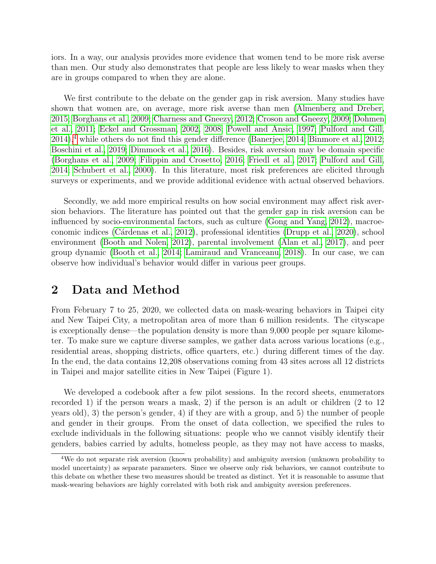iors. In a way, our analysis provides more evidence that women tend to be more risk averse than men. Our study also demonstrates that people are less likely to wear masks when they are in groups compared to when they are alone.

We first contribute to the debate on the gender gap in risk aversion. Many studies have shown that women are, on average, more risk averse than men [\(Almenberg and Dreber,](#page-5-4) [2015;](#page-5-4) [Borghans et al., 2009;](#page-5-5) [Charness and Gneezy, 2012;](#page-5-6) [Croson and Gneezy, 2009;](#page-6-5) [Dohmen](#page-6-6) [et al., 2011;](#page-6-6) [Eckel and Grossman, 2002,](#page-6-7) [2008;](#page-6-8) [Powell and Ansic, 1997;](#page-7-5) [Pulford and Gill,](#page-7-6)  $2014$  $2014$ ,<sup>4</sup> while others do not find this gender difference [\(Banerjee, 2014;](#page-5-7) [Binmore et al., 2012;](#page-5-8) [Boschini et al., 2019;](#page-5-9) [Dimmock et al., 2016\)](#page-6-9). Besides, risk aversion may be domain specific [\(Borghans et al., 2009;](#page-5-5) [Filippin and Crosetto, 2016;](#page-6-10) [Friedl et al., 2017;](#page-6-11) [Pulford and Gill,](#page-7-6) [2014;](#page-7-6) [Schubert et al., 2000\)](#page-7-7). In this literature, most risk preferences are elicited through surveys or experiments, and we provide additional evidence with actual observed behaviors.

Secondly, we add more empirical results on how social environment may affect risk aversion behaviors. The literature has pointed out that the gender gap in risk aversion can be influenced by socio-environmental factors, such as culture [\(Gong and Yang, 2012\)](#page-6-12), macroeconomic indices [\(C´ardenas et al., 2012\)](#page-5-10), professional identities [\(Drupp et al., 2020\)](#page-6-13), school environment [\(Booth and Nolen, 2012\)](#page-5-11), parental involvement [\(Alan et al., 2017\)](#page-4-0), and peer group dynamic [\(Booth et al., 2014;](#page-5-12) [Lamiraud and Vranceanu, 2018\)](#page-7-8). In our case, we can observe how individual's behavior would differ in various peer groups.

#### 2 Data and Method

From February 7 to 25, 2020, we collected data on mask-wearing behaviors in Taipei city and New Taipei City, a metropolitan area of more than 6 million residents. The cityscape is exceptionally dense—the population density is more than 9,000 people per square kilometer. To make sure we capture diverse samples, we gather data across various locations (e.g., residential areas, shopping districts, office quarters, etc.) during different times of the day. In the end, the data contains 12,208 observations coming from 43 sites across all 12 districts in Taipei and major satellite cities in New Taipei (Figure 1).

We developed a codebook after a few pilot sessions. In the record sheets, enumerators recorded 1) if the person wears a mask, 2) if the person is an adult or children (2 to 12 years old), 3) the person's gender, 4) if they are with a group, and 5) the number of people and gender in their groups. From the onset of data collection, we specified the rules to exclude individuals in the following situations: people who we cannot visibly identify their genders, babies carried by adults, homeless people, as they may not have access to masks,

<span id="page-2-0"></span><sup>&</sup>lt;sup>4</sup>We do not separate risk aversion (known probability) and ambiguity aversion (unknown probability to model uncertainty) as separate parameters. Since we observe only risk behaviors, we cannot contribute to this debate on whether these two measures should be treated as distinct. Yet it is reasonable to assume that mask-wearing behaviors are highly correlated with both risk and ambiguity aversion preferences.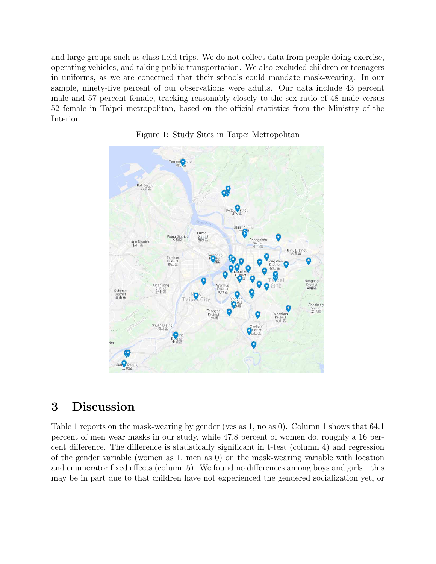and large groups such as class field trips. We do not collect data from people doing exercise, operating vehicles, and taking public transportation. We also excluded children or teenagers in uniforms, as we are concerned that their schools could mandate mask-wearing. In our sample, ninety-five percent of our observations were adults. Our data include 43 percent male and 57 percent female, tracking reasonably closely to the sex ratio of 48 male versus 52 female in Taipei metropolitan, based on the official statistics from the Ministry of the Interior.





### 3 Discussion

Table 1 reports on the mask-wearing by gender (yes as 1, no as 0). Column 1 shows that 64.1 percent of men wear masks in our study, while 47.8 percent of women do, roughly a 16 percent difference. The difference is statistically significant in t-test (column 4) and regression of the gender variable (women as 1, men as 0) on the mask-wearing variable with location and enumerator fixed effects (column 5). We found no differences among boys and girls—this may be in part due to that children have not experienced the gendered socialization yet, or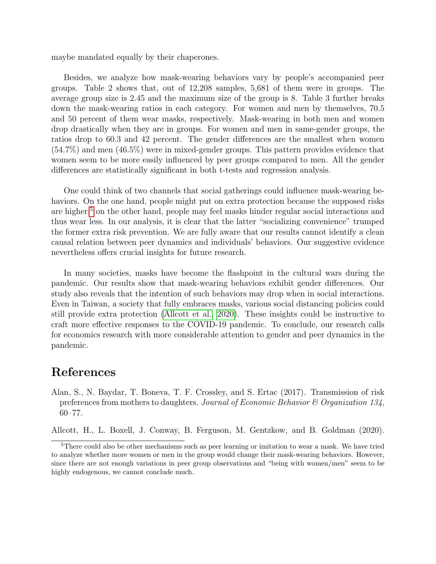maybe mandated equally by their chaperones.

Besides, we analyze how mask-wearing behaviors vary by people's accompanied peer groups. Table 2 shows that, out of 12,208 samples, 5,681 of them were in groups. The average group size is 2.45 and the maximum size of the group is 8. Table 3 further breaks down the mask-wearing ratios in each category. For women and men by themselves, 70.5 and 50 percent of them wear masks, respectively. Mask-wearing in both men and women drop drastically when they are in groups. For women and men in same-gender groups, the ratios drop to 60.3 and 42 percent. The gender differences are the smallest when women (54.7%) and men (46.5%) were in mixed-gender groups. This pattern provides evidence that women seem to be more easily influenced by peer groups compared to men. All the gender differences are statistically significant in both t-tests and regression analysis.

One could think of two channels that social gatherings could influence mask-wearing behaviors. On the one hand, people might put on extra protection because the supposed risks are higher;<sup>[5](#page-4-1)</sup> on the other hand, people may feel masks hinder regular social interactions and thus wear less. In our analysis, it is clear that the latter "socializing convenience" trumped the former extra risk prevention. We are fully aware that our results cannot identify a clean causal relation between peer dynamics and individuals' behaviors. Our suggestive evidence nevertheless offers crucial insights for future research.

In many societies, masks have become the flashpoint in the cultural wars during the pandemic. Our results show that mask-wearing behaviors exhibit gender differences. Our study also reveals that the intention of such behaviors may drop when in social interactions. Even in Taiwan, a society that fully embraces masks, various social distancing policies could still provide extra protection [\(Allcott et al., 2020\)](#page-4-2). These insights could be instructive to craft more effective responses to the COVID-19 pandemic. To conclude, our research calls for economics research with more considerable attention to gender and peer dynamics in the pandemic.

#### References

<span id="page-4-0"></span>Alan, S., N. Baydar, T. Boneva, T. F. Crossley, and S. Ertac (2017). Transmission of risk preferences from mothers to daughters. Journal of Economic Behavior & Organization 134, 60–77.

<span id="page-4-2"></span>Allcott, H., L. Boxell, J. Conway, B. Ferguson, M. Gentzkow, and B. Goldman (2020).

<span id="page-4-1"></span><sup>5</sup>There could also be other mechanisms such as peer learning or imitation to wear a mask. We have tried to analyze whether more women or men in the group would change their mask-wearing behaviors. However, since there are not enough variations in peer group observations and "being with women/men" seem to be highly endogenous, we cannot conclude much.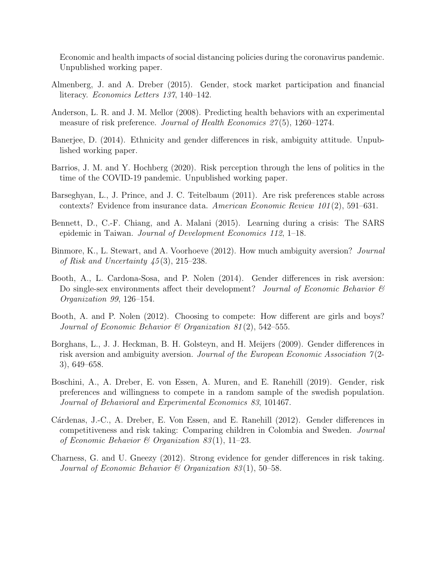Economic and health impacts of social distancing policies during the coronavirus pandemic. Unpublished working paper.

- <span id="page-5-4"></span>Almenberg, J. and A. Dreber (2015). Gender, stock market participation and financial literacy. Economics Letters 137, 140–142.
- <span id="page-5-1"></span>Anderson, L. R. and J. M. Mellor (2008). Predicting health behaviors with an experimental measure of risk preference. Journal of Health Economics  $27(5)$ , 1260–1274.
- <span id="page-5-7"></span>Banerjee, D. (2014). Ethnicity and gender differences in risk, ambiguity attitude. Unpublished working paper.
- <span id="page-5-2"></span>Barrios, J. M. and Y. Hochberg (2020). Risk perception through the lens of politics in the time of the COVID-19 pandemic. Unpublished working paper.
- <span id="page-5-0"></span>Barseghyan, L., J. Prince, and J. C. Teitelbaum (2011). Are risk preferences stable across contexts? Evidence from insurance data. American Economic Review 101 (2), 591–631.
- <span id="page-5-3"></span>Bennett, D., C.-F. Chiang, and A. Malani (2015). Learning during a crisis: The SARS epidemic in Taiwan. Journal of Development Economics 112, 1–18.
- <span id="page-5-8"></span>Binmore, K., L. Stewart, and A. Voorhoeve (2012). How much ambiguity aversion? Journal of Risk and Uncertainty 45 (3), 215–238.
- <span id="page-5-12"></span>Booth, A., L. Cardona-Sosa, and P. Nolen (2014). Gender differences in risk aversion: Do single-sex environments affect their development? Journal of Economic Behavior  $\mathcal B$ Organization 99, 126–154.
- <span id="page-5-11"></span>Booth, A. and P. Nolen (2012). Choosing to compete: How different are girls and boys? Journal of Economic Behavior & Organization 81(2), 542-555.
- <span id="page-5-5"></span>Borghans, L., J. J. Heckman, B. H. Golsteyn, and H. Meijers (2009). Gender differences in risk aversion and ambiguity aversion. Journal of the European Economic Association  $\gamma$ (2-3), 649–658.
- <span id="page-5-9"></span>Boschini, A., A. Dreber, E. von Essen, A. Muren, and E. Ranehill (2019). Gender, risk preferences and willingness to compete in a random sample of the swedish population. Journal of Behavioral and Experimental Economics 83, 101467.
- <span id="page-5-10"></span>Cárdenas, J.-C., A. Dreber, E. Von Essen, and E. Ranehill (2012). Gender differences in competitiveness and risk taking: Comparing children in Colombia and Sweden. Journal of Economic Behavior & Organization 83(1), 11–23.
- <span id="page-5-6"></span>Charness, G. and U. Gneezy (2012). Strong evidence for gender differences in risk taking. Journal of Economic Behavior & Organization  $83(1)$ , 50–58.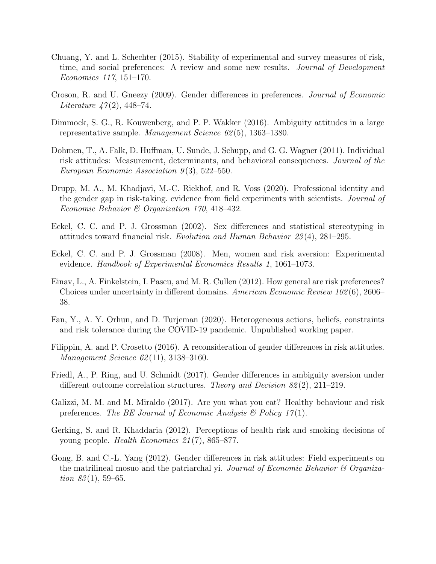- <span id="page-6-0"></span>Chuang, Y. and L. Schechter (2015). Stability of experimental and survey measures of risk, time, and social preferences: A review and some new results. *Journal of Development* Economics 117, 151–170.
- <span id="page-6-5"></span>Croson, R. and U. Gneezy (2009). Gender differences in preferences. Journal of Economic *Literature 47(2)*, 448–74.
- <span id="page-6-9"></span>Dimmock, S. G., R. Kouwenberg, and P. P. Wakker (2016). Ambiguity attitudes in a large representative sample. Management Science 62 (5), 1363–1380.
- <span id="page-6-6"></span>Dohmen, T., A. Falk, D. Huffman, U. Sunde, J. Schupp, and G. G. Wagner (2011). Individual risk attitudes: Measurement, determinants, and behavioral consequences. Journal of the European Economic Association  $9(3)$ , 522–550.
- <span id="page-6-13"></span>Drupp, M. A., M. Khadjavi, M.-C. Riekhof, and R. Voss (2020). Professional identity and the gender gap in risk-taking. evidence from field experiments with scientists. Journal of Economic Behavior & Organization 170, 418–432.
- <span id="page-6-7"></span>Eckel, C. C. and P. J. Grossman (2002). Sex differences and statistical stereotyping in attitudes toward financial risk. Evolution and Human Behavior 23 (4), 281–295.
- <span id="page-6-8"></span>Eckel, C. C. and P. J. Grossman (2008). Men, women and risk aversion: Experimental evidence. Handbook of Experimental Economics Results 1, 1061–1073.
- <span id="page-6-1"></span>Einav, L., A. Finkelstein, I. Pascu, and M. R. Cullen (2012). How general are risk preferences? Choices under uncertainty in different domains. American Economic Review 102 (6), 2606– 38.
- <span id="page-6-4"></span>Fan, Y., A. Y. Orhun, and D. Turjeman (2020). Heterogeneous actions, beliefs, constraints and risk tolerance during the COVID-19 pandemic. Unpublished working paper.
- <span id="page-6-10"></span>Filippin, A. and P. Crosetto (2016). A reconsideration of gender differences in risk attitudes. Management Science 62(11), 3138-3160.
- <span id="page-6-11"></span>Friedl, A., P. Ring, and U. Schmidt (2017). Gender differences in ambiguity aversion under different outcome correlation structures. Theory and Decision 82(2), 211–219.
- <span id="page-6-2"></span>Galizzi, M. M. and M. Miraldo (2017). Are you what you eat? Healthy behaviour and risk preferences. The BE Journal of Economic Analysis  $\mathcal{B}$  Policy 17(1).
- <span id="page-6-3"></span>Gerking, S. and R. Khaddaria (2012). Perceptions of health risk and smoking decisions of young people. Health Economics 21 (7), 865–877.
- <span id="page-6-12"></span>Gong, B. and C.-L. Yang (2012). Gender differences in risk attitudes: Field experiments on the matrilineal mosuo and the patriarchal yi. Journal of Economic Behavior  $\mathscr B$  Organization  $83(1)$ , 59–65.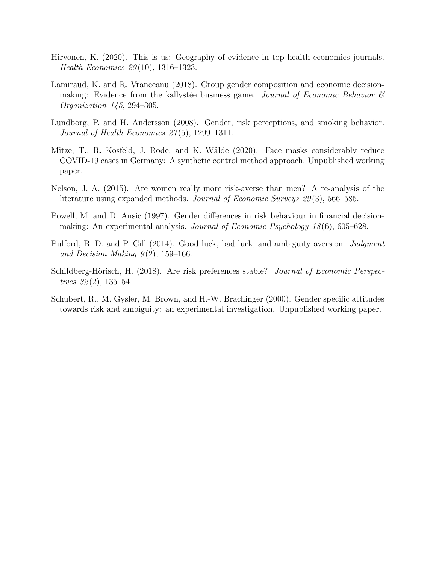- <span id="page-7-3"></span>Hirvonen, K. (2020). This is us: Geography of evidence in top health economics journals. Health Economics 29 (10), 1316–1323.
- <span id="page-7-8"></span>Lamiraud, K. and R. Vranceanu (2018). Group gender composition and economic decisionmaking: Evidence from the kallystée business game. Journal of Economic Behavior  $\mathscr B$ Organization 145, 294–305.
- <span id="page-7-2"></span>Lundborg, P. and H. Andersson (2008). Gender, risk perceptions, and smoking behavior. Journal of Health Economics  $27(5)$ , 1299–1311.
- <span id="page-7-4"></span>Mitze, T., R. Kosfeld, J. Rode, and K. Wälde (2020). Face masks considerably reduce COVID-19 cases in Germany: A synthetic control method approach. Unpublished working paper.
- <span id="page-7-0"></span>Nelson, J. A. (2015). Are women really more risk-averse than men? A re-analysis of the literature using expanded methods. Journal of Economic Surveys 29 (3), 566–585.
- <span id="page-7-5"></span>Powell, M. and D. Ansic (1997). Gender differences in risk behaviour in financial decisionmaking: An experimental analysis. Journal of Economic Psychology 18 (6), 605–628.
- <span id="page-7-6"></span>Pulford, B. D. and P. Gill (2014). Good luck, bad luck, and ambiguity aversion. Judgment and Decision Making  $9(2)$ , 159–166.
- <span id="page-7-1"></span>Schildberg-Hörisch, H. (2018). Are risk preferences stable? *Journal of Economic Perspec*tives  $32(2)$ , 135–54.
- <span id="page-7-7"></span>Schubert, R., M. Gysler, M. Brown, and H.-W. Brachinger (2000). Gender specific attitudes towards risk and ambiguity: an experimental investigation. Unpublished working paper.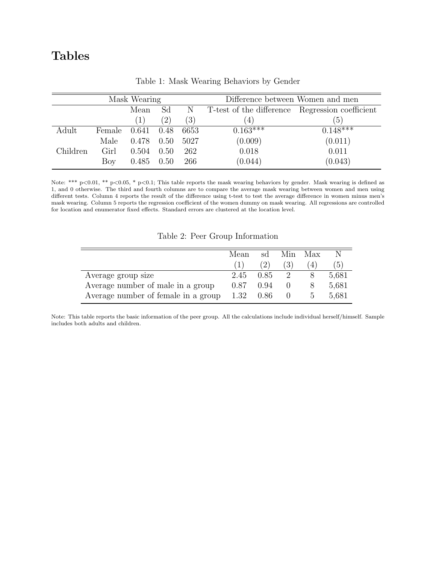# Tables

| Mask Wearing |        |       |      |      | Difference between Women and men                |            |  |
|--------------|--------|-------|------|------|-------------------------------------------------|------------|--|
|              |        | Mean  | Sd   | N    | T-test of the difference Regression coefficient |            |  |
|              |        | (1)   | (2)  | (3)  | $\left(4\right)$                                | (5)        |  |
| Adult        | Female | 0.641 | 0.48 | 6653 | $0.163***$                                      | $0.148***$ |  |
|              | Male   | 0.478 | 0.50 | 5027 | (0.009)                                         | (0.011)    |  |
| Children     | Girl   | 0.504 | 0.50 | 262  | 0.018                                           | 0.011      |  |
|              | Boy    | 0.485 | 0.50 | 266  | (0.044)                                         | (0.043)    |  |

Table 1: Mask Wearing Behaviors by Gender

Note: \*\*\* p<0.01, \*\* p<0.05, \* p<0.1; This table reports the mask wearing behaviors by gender. Mask wearing is defined as 1, and 0 otherwise. The third and fourth columns are to compare the average mask wearing between women and men using different tests. Column 4 reports the result of the difference using t-test to test the average difference in women minus men's mask wearing. Column 5 reports the regression coefficient of the women dummy on mask wearing. All regressions are controlled for location and enumerator fixed effects. Standard errors are clustered at the location level.

Table 2: Peer Group Information

|                                     | Mean | sd   | Min. | Max           |                  |
|-------------------------------------|------|------|------|---------------|------------------|
|                                     |      | (2)  | 3)   |               | $\mathfrak{b}$ ) |
| Average group size                  | 2.45 | 0.85 |      |               | 5,681            |
| Average number of male in a group   | 0.87 | 0.94 |      |               | 5,681            |
| Average number of female in a group | 1.32 | 0.86 |      | $\mathcal{D}$ | 5,681            |

Note: This table reports the basic information of the peer group. All the calculations include individual herself/himself. Sample includes both adults and children.